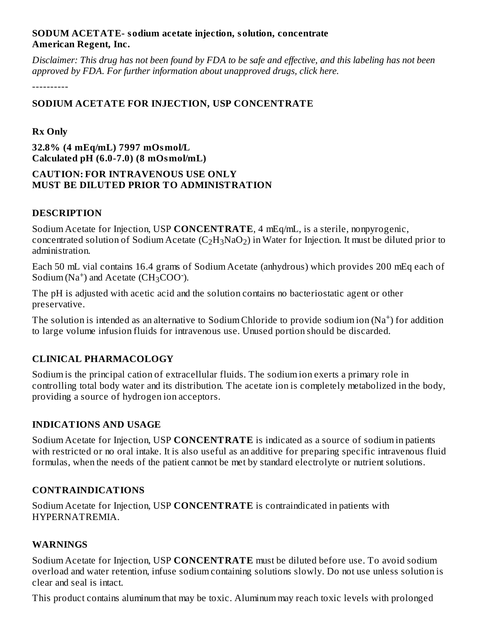#### **SODUM ACETATE- sodium acetate injection, solution, concentrate American Regent, Inc.**

Disclaimer: This drug has not been found by FDA to be safe and effective, and this labeling has not been *approved by FDA. For further information about unapproved drugs, click here.*

----------

# **SODIUM ACETATE FOR INJECTION, USP CONCENTRATE**

### **Rx Only**

**32.8% (4 mEq/mL) 7997 mOsmol/L Calculated pH (6.0-7.0) (8 mOsmol/mL)**

#### **CAUTION: FOR INTRAVENOUS USE ONLY MUST BE DILUTED PRIOR TO ADMINISTRATION**

#### **DESCRIPTION**

Sodium Acetate for Injection, USP **CONCENTRATE**, 4 mEq/mL, is a sterile, nonpyrogenic, concentrated solution of Sodium Acetate (C $_2\rm H_3NaO_2$ ) in Water for Injection. It must be diluted prior to administration.

Each 50 mL vial contains 16.4 grams of Sodium Acetate (anhydrous) which provides 200 mEq each of Sodium ( $Na<sup>+</sup>$ ) and Acetate (CH<sub>3</sub>COO<sup>-</sup>).

The pH is adjusted with acetic acid and the solution contains no bacteriostatic agent or other preservative.

The solution is intended as an alternative to Sodium Chloride to provide sodium ion (Na<sup>+</sup>) for addition to large volume infusion fluids for intravenous use. Unused portion should be discarded.

# **CLINICAL PHARMACOLOGY**

Sodium is the principal cation of extracellular fluids. The sodium ion exerts a primary role in controlling total body water and its distribution. The acetate ion is completely metabolized in the body, providing a source of hydrogen ion acceptors.

# **INDICATIONS AND USAGE**

Sodium Acetate for Injection, USP **CONCENTRATE** is indicated as a source of sodium in patients with restricted or no oral intake. It is also useful as an additive for preparing specific intravenous fluid formulas, when the needs of the patient cannot be met by standard electrolyte or nutrient solutions.

# **CONTRAINDICATIONS**

Sodium Acetate for Injection, USP **CONCENTRATE** is contraindicated in patients with HYPERNATREMIA.

#### **WARNINGS**

Sodium Acetate for Injection, USP **CONCENTRATE** must be diluted before use. To avoid sodium overload and water retention, infuse sodium containing solutions slowly. Do not use unless solution is clear and seal is intact.

This product contains aluminum that may be toxic. Aluminum may reach toxic levels with prolonged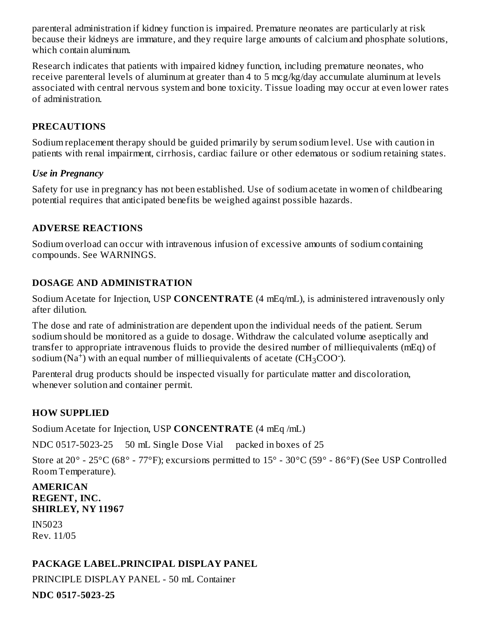parenteral administration if kidney function is impaired. Premature neonates are particularly at risk because their kidneys are immature, and they require large amounts of calcium and phosphate solutions, which contain aluminum.

Research indicates that patients with impaired kidney function, including premature neonates, who receive parenteral levels of aluminum at greater than 4 to 5 mcg/kg/day accumulate aluminum at levels associated with central nervous system and bone toxicity. Tissue loading may occur at even lower rates of administration.

# **PRECAUTIONS**

Sodium replacement therapy should be guided primarily by serum sodium level. Use with caution in patients with renal impairment, cirrhosis, cardiac failure or other edematous or sodium retaining states.

#### *Use in Pregnancy*

Safety for use in pregnancy has not been established. Use of sodium acetate in women of childbearing potential requires that anticipated benefits be weighed against possible hazards.

# **ADVERSE REACTIONS**

Sodium overload can occur with intravenous infusion of excessive amounts of sodium containing compounds. See WARNINGS.

# **DOSAGE AND ADMINISTRATION**

Sodium Acetate for Injection, USP **CONCENTRATE** (4 mEq/mL), is administered intravenously only after dilution.

The dose and rate of administration are dependent upon the individual needs of the patient. Serum sodium should be monitored as a guide to dosage. Withdraw the calculated volume aseptically and transfer to appropriate intravenous fluids to provide the desired number of milliequivalents (mEq) of sodium (Na<sup>+</sup>) with an equal number of milliequivalents of acetate (CH<sub>3</sub>COO<sup>-</sup>).

Parenteral drug products should be inspected visually for particulate matter and discoloration, whenever solution and container permit.

# **HOW SUPPLIED**

Sodium Acetate for Injection, USP **CONCENTRATE** (4 mEq /mL)

NDC 0517-5023-25 50 mL Single Dose Vial packed in boxes of 25

Store at 20° - 25°C (68° - 77°F); excursions permitted to 15° - 30°C (59° - 86°F) (See USP Controlled Room Temperature).

#### **AMERICAN REGENT, INC. SHIRLEY, NY 11967**

IN5023 Rev. 11/05

# **PACKAGE LABEL.PRINCIPAL DISPLAY PANEL**

PRINCIPLE DISPLAY PANEL - 50 mL Container

**NDC 0517-5023-25**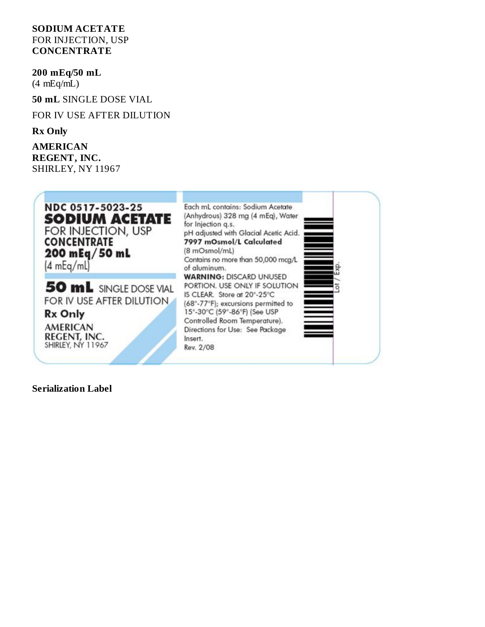#### **SODIUM ACETATE** FOR INJECTION, USP **CONCENTRATE**

**200 mEq/50 mL**

(4 mEq/mL)

**50 mL** SINGLE DOSE VIAL

FOR IV USE AFTER DILUTION

**Rx Only**

**AMERICAN REGENT, INC.** SHIRLEY, NY 11967



**Serialization Label**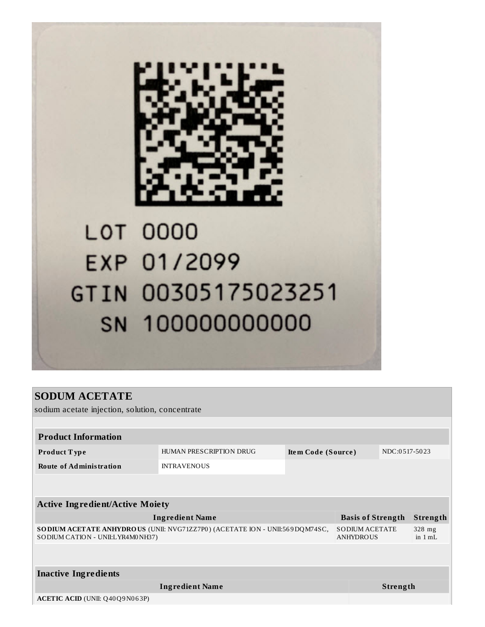

# **LOT 0000** EXP 01/2099 GTIN 00305175023251 SN 100000000000

# **SODUM ACETATE**

sodium acetate injection, solution, concentrate

| <b>Product Information</b>                                                                                       |                                           |                    |                       |  |  |  |  |  |
|------------------------------------------------------------------------------------------------------------------|-------------------------------------------|--------------------|-----------------------|--|--|--|--|--|
| Product Type                                                                                                     | HUMAN PRESCRIPTION DRUG                   | Item Code (Source) | NDC:0517-5023         |  |  |  |  |  |
| <b>Route of Administration</b>                                                                                   | <b>INTRAVENOUS</b>                        |                    |                       |  |  |  |  |  |
|                                                                                                                  |                                           |                    |                       |  |  |  |  |  |
|                                                                                                                  |                                           |                    |                       |  |  |  |  |  |
| <b>Active Ingredient/Active Moiety</b>                                                                           |                                           |                    |                       |  |  |  |  |  |
| <b>Ingredient Name</b>                                                                                           | <b>Basis of Strength</b>                  |                    | Strength              |  |  |  |  |  |
| SO DIUM ACETATE ANHYDROUS (UNII: NVG71ZZ7P0) (ACETATE ION - UNII:569DQM74SC,<br>SODIUM CATION - UNII:LYR4M0NH37) | <b>SODIUM ACETATE</b><br><b>ANHYDROUS</b> |                    | $328$ mg<br>in $1 mL$ |  |  |  |  |  |
|                                                                                                                  |                                           |                    |                       |  |  |  |  |  |
|                                                                                                                  |                                           |                    |                       |  |  |  |  |  |
| <b>Inactive Ingredients</b>                                                                                      |                                           |                    |                       |  |  |  |  |  |
|                                                                                                                  |                                           | <b>Strength</b>    |                       |  |  |  |  |  |
| ACETIC ACID (UNII: Q40Q9N063P)                                                                                   |                                           |                    |                       |  |  |  |  |  |